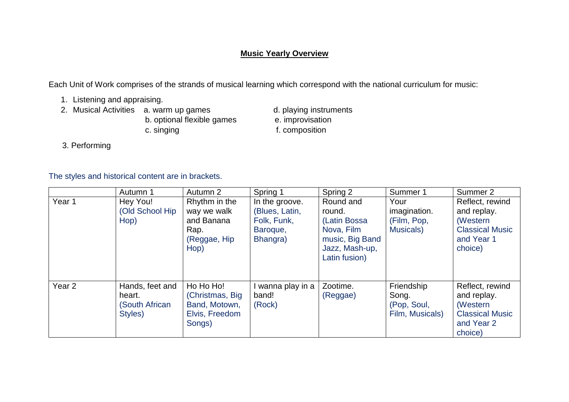## **Music Yearly Overview**

Each Unit of Work comprises of the strands of musical learning which correspond with the national curriculum for music:

- 1. Listening and appraising.
- - b. optional flexible games c. singing f. composition
- 2. Musical Activities a. warm up games d. playing instruments<br>b. optional flexible games e. improvisation
	-

3. Performing

The styles and historical content are in brackets.

|                   | Autumn 1                                                      | Autumn 2                                                                   | Spring 1                                                                | Spring 2                                                                                                | Summer 1                                              | Summer 2                                                                                      |
|-------------------|---------------------------------------------------------------|----------------------------------------------------------------------------|-------------------------------------------------------------------------|---------------------------------------------------------------------------------------------------------|-------------------------------------------------------|-----------------------------------------------------------------------------------------------|
| Year 1            | Hey You!<br>(Old School Hip<br>Hop)                           | Rhythm in the<br>way we walk<br>and Banana<br>Rap.<br>(Reggae, Hip<br>Hop) | In the groove.<br>(Blues, Latin,<br>Folk, Funk,<br>Baroque,<br>Bhangra) | Round and<br>round.<br>(Latin Bossa<br>Nova, Film<br>music, Big Band<br>Jazz, Mash-up,<br>Latin fusion) | Your<br>imagination.<br>(Film, Pop,<br>Musicals)      | Reflect, rewind<br>and replay.<br>(Western<br><b>Classical Music</b><br>and Year 1<br>choice) |
| Year <sub>2</sub> | Hands, feet and<br>heart.<br><b>(South African</b><br>Styles) | Ho Ho Ho!<br>(Christmas, Big)<br>Band, Motown,<br>Elvis, Freedom<br>Songs) | wanna play in a<br>band!<br>(Rock)                                      | Zootime.<br>(Reggae)                                                                                    | Friendship<br>Song.<br>(Pop, Soul,<br>Film, Musicals) | Reflect, rewind<br>and replay.<br>(Western<br><b>Classical Music</b><br>and Year 2<br>choice) |